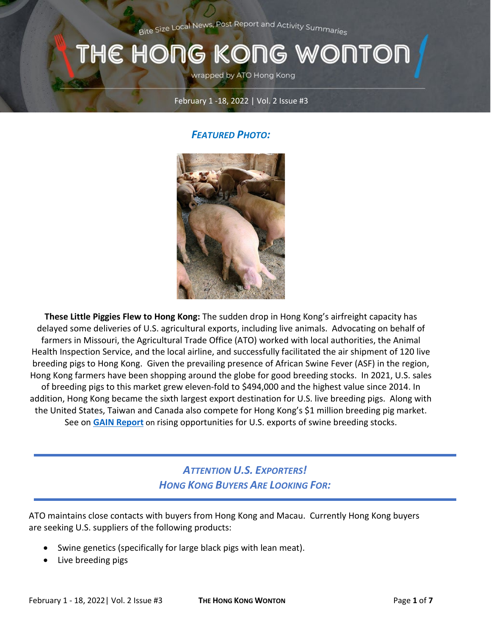Bite Size Local News, Post Report and Activity Summaries

# THE HONG KONG WONTOI

wrapped by ATO Hong Kong

#### February 1 -18, 2022 | Vol. 2 Issue #3

#### *FEATURED PHOTO:*



**These Little Piggies Flew to Hong Kong:** The sudden drop in Hong Kong's airfreight capacity has delayed some deliveries of U.S. agricultural exports, including live animals. Advocating on behalf of farmers in Missouri, the Agricultural Trade Office (ATO) worked with local authorities, the Animal Health Inspection Service, and the local airline, and successfully facilitated the air shipment of 120 live breeding pigs to Hong Kong. Given the prevailing presence of African Swine Fever (ASF) in the region, Hong Kong farmers have been shopping around the globe for good breeding stocks. In 2021, U.S. sales of breeding pigs to this market grew eleven-fold to \$494,000 and the highest value since 2014. In addition, Hong Kong became the sixth largest export destination for U.S. live breeding pigs. Along with the United States, Taiwan and Canada also compete for Hong Kong's \$1 million breeding pig market. See on **[GAIN Report](https://apps.fas.usda.gov/newgainapi/api/Report/DownloadReportByFileName?fileName=Rising%20Export%20Opportunities%20for%20US%20Swine%20Breeding%20Stocks%20_Hong%20Kong_Hong%20Kong_02-09-2022)** on rising opportunities for U.S. exports of swine breeding stocks.

#### *ATTENTION U.S. EXPORTERS! HONG KONG BUYERS ARE LOOKING FOR:*

ATO maintains close contacts with buyers from Hong Kong and Macau. Currently Hong Kong buyers are seeking U.S. suppliers of the following products:

- Swine genetics (specifically for large black pigs with lean meat).
- Live breeding pigs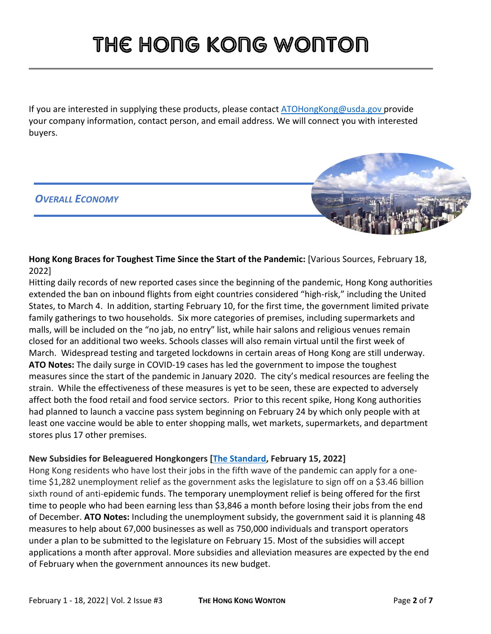If you are interested in supplying these products, please contac[t ATOHongKong@usda.gov](mailto:ATOHongKong@usda.gov) provide your company information, contact person, and email address. We will connect you with interested buyers.

#### *OVERALL ECONOMY*



**Hong Kong Braces for Toughest Time Since the Start of the Pandemic:** [Various Sources, February 18, 2022]

Hitting daily records of new reported cases since the beginning of the pandemic, Hong Kong authorities extended the ban on inbound flights from eight countries considered "high-risk," including the United States, to March 4. In addition, starting February 10, for the first time, the government limited private family gatherings to two households. Six more categories of premises, including supermarkets and malls, will be included on the "no jab, no entry" list, while hair salons and religious venues remain closed for an additional two weeks. Schools classes will also remain virtual until the first week of March. Widespread testing and targeted lockdowns in certain areas of Hong Kong are still underway. **ATO Notes:** The daily surge in COVID-19 cases has led the government to impose the toughest measures since the start of the pandemic in January 2020. The city's medical resources are feeling the strain. While the effectiveness of these measures is yet to be seen, these are expected to adversely affect both the food retail and food service sectors. Prior to this recent spike, Hong Kong authorities had planned to launch a vaccine pass system beginning on February 24 by which only people with at least one vaccine would be able to enter shopping malls, wet markets, supermarkets, and department stores plus 17 other premises.

#### **New Subsidies for Beleaguered Hongkongers [\[The Standard,](https://www.thestandard.com.hk/section-news/section/11/238901/$10,000-subsidy-for-fifth-wave-jobless) February 15, 2022]**

Hong Kong residents who have lost their jobs in the fifth wave of the pandemic can apply for a onetime \$1,282 unemployment relief as the government asks the legislature to sign off on a \$3.46 billion sixth round of anti-epidemic funds. The temporary unemployment relief is being offered for the first time to people who had been earning less than \$3,846 a month before losing their jobs from the end of December. **ATO Notes:** Including the unemployment subsidy, the government said it is planning 48 measures to help about 67,000 businesses as well as 750,000 individuals and transport operators under a plan to be submitted to the legislature on February 15. Most of the subsidies will accept applications a month after approval. More subsidies and alleviation measures are expected by the end of February when the government announces its new budget.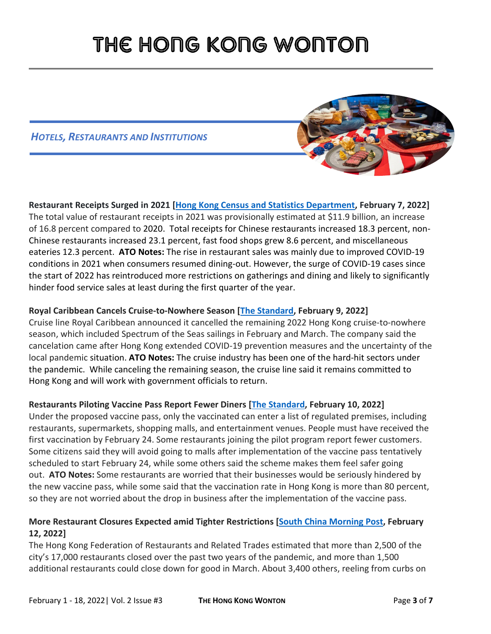#### *HOTELS, RESTAURANTS AND INSTITUTIONS*



**Restaurant Receipts Surged in 2021 [\[Hong Kong Census and Statistics Department,](https://www.censtatd.gov.hk/en/press_release_detail.html?id=5011) February 7, 2022]** The total value of restaurant receipts in 2021 was provisionally estimated at \$11.9 billion, an increase of 16.8 percent compared to 2020. Total receipts for Chinese restaurants increased 18.3 percent, non-Chinese restaurants increased 23.1 percent, fast food shops grew 8.6 percent, and miscellaneous eateries 12.3 percent. **ATO Notes:** The rise in restaurant sales was mainly due to improved COVID-19 conditions in 2021 when consumers resumed dining-out. However, the surge of COVID-19 cases since the start of 2022 has reintroduced more restrictions on gatherings and dining and likely to significantly hinder food service sales at least during the first quarter of the year.

#### **Royal Caribbean Cancels Cruise-to-Nowhere Season [\[The Standard,](https://www.thestandard.com.hk/breaking-news/section/4/186936/Royal-Caribbean-cancels-remaining-cruise-to-nowhere-season-in-Hong-Kong) February 9, 2022]**

Cruise line Royal Caribbean announced it cancelled the remaining 2022 Hong Kong cruise-to-nowhere season, which included Spectrum of the Seas sailings in February and March. The company said the cancelation came after Hong Kong extended COVID-19 prevention measures and the uncertainty of the local pandemic situation. **ATO Notes:** The cruise industry has been one of the hard-hit sectors under the pandemic. While canceling the remaining season, the cruise line said it remains committed to Hong Kong and will work with government officials to return.

#### **Restaurants Piloting Vaccine Pass Report Fewer Diners [\[The Standard,](https://www.thestandard.com.hk/breaking-news/section/4/186980/Restaurants-piloting-) February 10, 2022]**

Under the proposed vaccine pass, only the vaccinated can enter a list of regulated premises, including restaurants, supermarkets, shopping malls, and entertainment venues. People must have received the first vaccination by February 24. Some restaurants joining the pilot program report fewer customers. Some citizens said they will avoid going to malls after implementation of the vaccine pass tentatively scheduled to start February 24, while some others said the scheme makes them feel safer going out. **ATO Notes:** Some restaurants are worried that their businesses would be seriously hindered by the new vaccine pass, while some said that the vaccination rate in Hong Kong is more than 80 percent, so they are not worried about the drop in business after the implementation of the vaccine pass.

#### **More Restaurant Closures Expected amid Tighter Restrictions [\[South China Morning Post,](https://www.scmp.com/news/hong-kong/hong-kong-economy/article/3166802/all-doom-and-gloom-thousands-hong-kong-restaurants) February 12, 2022]**

The Hong Kong Federation of Restaurants and Related Trades estimated that more than 2,500 of the city's 17,000 restaurants closed over the past two years of the pandemic, and more than 1,500 additional restaurants could close down for good in March. About 3,400 others, reeling from curbs on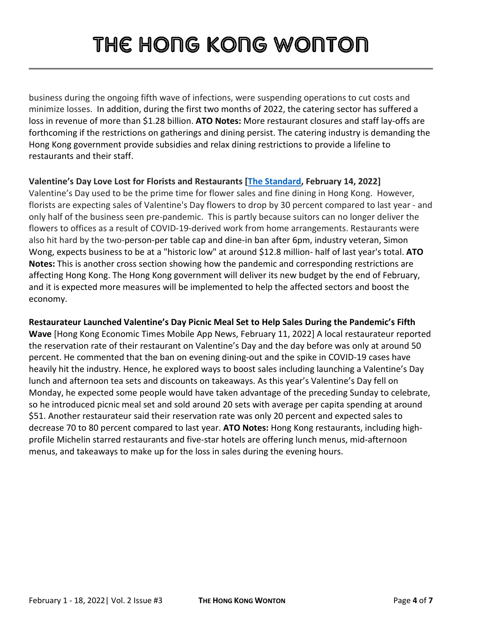business during the ongoing fifth wave of infections, were suspending operations to cut costs and minimize losses. In addition, during the first two months of 2022, the catering sector has suffered a loss in revenue of more than \$1.28 billion. **ATO Notes:** More restaurant closures and staff lay-offs are forthcoming if the restrictions on gatherings and dining persist. The catering industry is demanding the Hong Kong government provide subsidies and relax dining restrictions to provide a lifeline to restaurants and their staff.

#### **Valentine's Day Love Lost for Florists and Restaurants [\[The Standard,](https://www.thestandard.com.hk/section-news/section/11/238852/Love-lost-as-florists,-restaurants-pine-over-Valentine) February 14, 2022]**

Valentine's Day used to be the prime time for flower sales and fine dining in Hong Kong. However, florists are expecting sales of Valentine's Day flowers to drop by 30 percent compared to last year - and only half of the business seen pre-pandemic. This is partly because suitors can no longer deliver the flowers to offices as a result of COVID-19-derived work from home arrangements. Restaurants were also hit hard by the two-person-per table cap and dine-in ban after 6pm, industry veteran, Simon Wong, expects business to be at a "historic low" at around \$12.8 million- half of last year's total. **ATO Notes:** This is another cross section showing how the pandemic and corresponding restrictions are affecting Hong Kong. The Hong Kong government will deliver its new budget by the end of February, and it is expected more measures will be implemented to help the affected sectors and boost the economy.

### **Restaurateur Launched Valentine's Day Picnic Meal Set to Help Sales During the Pandemic's Fifth**

**Wave** [Hong Kong Economic Times Mobile App News, February 11, 2022] A local restaurateur reported the reservation rate of their restaurant on Valentine's Day and the day before was only at around 50 percent. He commented that the ban on evening dining-out and the spike in COVID-19 cases have heavily hit the industry. Hence, he explored ways to boost sales including launching a Valentine's Day lunch and afternoon tea sets and discounts on takeaways. As this year's Valentine's Day fell on Monday, he expected some people would have taken advantage of the preceding Sunday to celebrate, so he introduced picnic meal set and sold around 20 sets with average per capita spending at around \$51. Another restaurateur said their reservation rate was only 20 percent and expected sales to decrease 70 to 80 percent compared to last year. **ATO Notes:** Hong Kong restaurants, including highprofile Michelin starred restaurants and five-star hotels are offering lunch menus, mid-afternoon menus, and takeaways to make up for the loss in sales during the evening hours.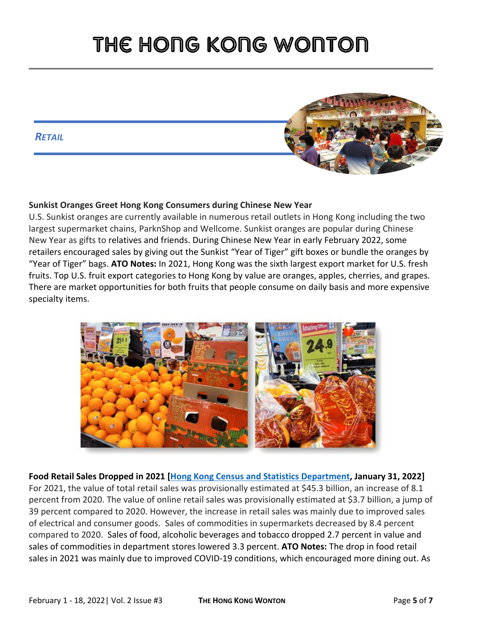#### *RETAIL*



#### **Sunkist Oranges Greet Hong Kong Consumers during Chinese New Year**

U.S. Sunkist oranges are currently available in numerous retail outlets in Hong Kong including the two largest supermarket chains, ParknShop and Wellcome. Sunkist oranges are popular during Chinese New Year as gifts to relatives and friends. During Chinese New Year in early February 2022, some retailers encouraged sales by giving out the Sunkist "Year of Tiger" gift boxes or bundle the oranges by "Year of Tiger" bags. **ATO Notes:** In 2021, Hong Kong was the sixth largest export market for U.S. fresh fruits. Top U.S. fruit export categories to Hong Kong by value are oranges, apples, cherries, and grapes. There are market opportunities for both fruits that people consume on daily basis and more expensive specialty items.



**Food Retail Sales Dropped in 2021 [\[Hong Kong Census and Statistics Department,](https://www.censtatd.gov.hk/en/press_release_detail.html?id=5010) January 31, 2022]**  For 2021, the value of total retail sales was provisionally estimated at \$45.3 billion, an increase of 8.1 percent from 2020. The value of online retail sales was provisionally estimated at \$3.7 billion, a jump of 39 percent compared to 2020. However, the increase in retail sales was mainly due to improved sales of electrical and consumer goods. Sales of commodities in supermarkets decreased by 8.4 percent compared to 2020. Sales of food, alcoholic beverages and tobacco dropped 2.7 percent in value and sales of commodities in department stores lowered 3.3 percent. **ATO Notes:** The drop in food retail sales in 2021 was mainly due to improved COVID-19 conditions, which encouraged more dining out. As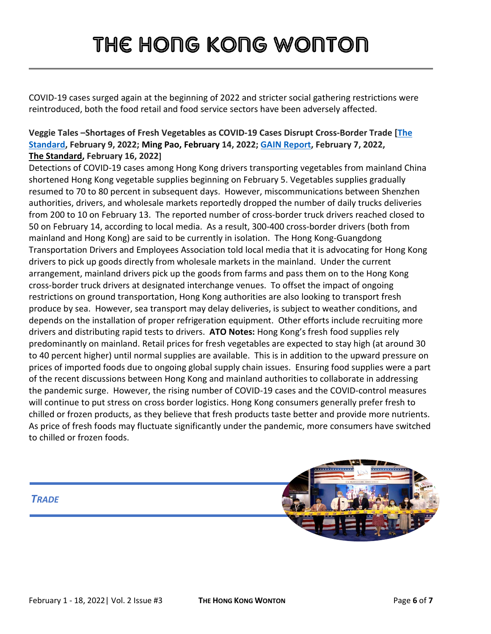COVID-19 cases surged again at the beginning of 2022 and stricter social gathering restrictions were reintroduced, both the food retail and food service sectors have been adversely affected.

#### **Veggie Tales –Shortages of Fresh Vegetables as COVID-19 Cases Disrupt Cross-Border Trade [\[The](https://www.thestandard.com.hk/section-news/section/11/238720/Veggies-still-hard-to-come-by,-but-pinch-will-be-)  [Standard,](https://www.thestandard.com.hk/section-news/section/11/238720/Veggies-still-hard-to-come-by,-but-pinch-will-be-) February 9, 2022; Ming Pao, February 14, 2022; [GAIN Report,](https://www.fas.usda.gov/data/hong-kong-covid-19-disruptions-cross-border-ground-transportation-temporarily-shorten) February 7, 2022, [The Standard,](https://gcc02.safelinks.protection.outlook.com/?url=https%3A%2F%2Fwww.thestandard.com.hk%2Fsection-news%2Fsection%2F11%2F238945%2FSea-change-looms-on-veggie-supply-route&data=04%7C01%7CCleverJA%40state.gov%7Cd6d4caf0b4f14b8b633608d9f106c849%7C66cf50745afe48d1a691a12b2121f44b%7C0%7C0%7C637805833690785945%7CUnknown%7CTWFpbGZsb3d8eyJWIjoiMC4wLjAwMDAiLCJQIjoiV2luMzIiLCJBTiI6Ik1haWwiLCJXVCI6Mn0%3D%7C3000&sdata=zC25cFzsrH0jwwXUMqQ6cyULnMzcR9EOZKxNGk70X0s%3D&reserved=0) February 16, 2022]**

Detections of COVID-19 cases among Hong Kong drivers transporting vegetables from mainland China shortened Hong Kong vegetable supplies beginning on February 5. Vegetables supplies gradually resumed to 70 to 80 percent in subsequent days. However, miscommunications between Shenzhen authorities, drivers, and wholesale markets reportedly dropped the number of daily trucks deliveries from 200 to 10 on February 13. The reported number of cross-border truck drivers reached closed to 50 on February 14, according to local media. As a result, 300-400 cross-border drivers (both from mainland and Hong Kong) are said to be currently in isolation. The Hong Kong-Guangdong Transportation Drivers and Employees Association told local media that it is advocating for Hong Kong drivers to pick up goods directly from wholesale markets in the mainland. Under the current arrangement, mainland drivers pick up the goods from farms and pass them on to the Hong Kong cross-border truck drivers at designated interchange venues. To offset the impact of ongoing restrictions on ground transportation, Hong Kong authorities are also looking to transport fresh produce by sea. However, sea transport may delay deliveries, is subject to weather conditions, and depends on the installation of proper refrigeration equipment. Other efforts include recruiting more drivers and distributing rapid tests to drivers. **ATO Notes:** Hong Kong's fresh food supplies rely predominantly on mainland. Retail prices for fresh vegetables are expected to stay high (at around 30 to 40 percent higher) until normal supplies are available. This is in addition to the upward pressure on prices of imported foods due to ongoing global supply chain issues. Ensuring food supplies were a part of the recent discussions between Hong Kong and mainland authorities to collaborate in addressing the pandemic surge. However, the rising number of COVID-19 cases and the COVID-control measures will continue to put stress on cross border logistics. Hong Kong consumers generally prefer fresh to chilled or frozen products, as they believe that fresh products taste better and provide more nutrients. As price of fresh foods may fluctuate significantly under the pandemic, more consumers have switched to chilled or frozen foods.